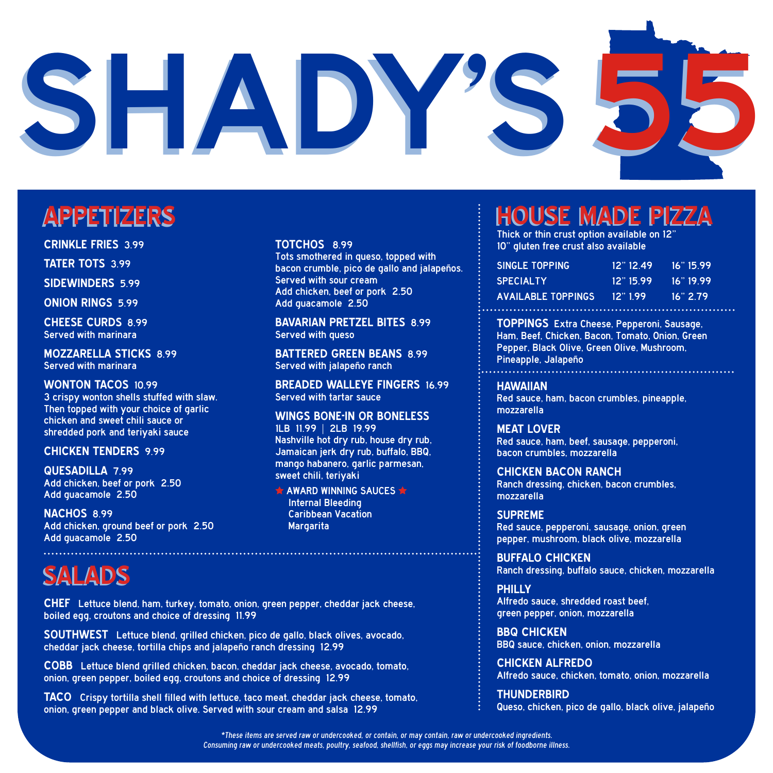# SHADY'S 55 SHADY'S 55

**TOTCHOS** 8.99

Served with sour cream

Add guacamole 2.50

Served with queso

Add chicken, beef or pork 2.50

**BAVARIAN PRETZEL BITES** 8.99

**BATTERED GREEN BEANS** 8.99

**WINGS BONE-IN OR BONELESS**

Nashville hot dry rub, house dry rub, Jamaican jerk dry rub, buffalo, BBQ, mango habanero, garlic parmesan,

 $\star$  AWARD WINNING SAUCES  $\star$ 

**BREADED WALLEYE FINGERS** 16.99

Served with jalapeño ranch

Served with tartar sauce

1LB 11.99 | 2LB 19.99

sweet chili, teriyaki

**Margarita** 

Internal Bleeding Caribbean Vacation

Tots smothered in queso, topped with bacon crumble, pico de gallo and jalapeños.

## **APPETIZERS APPETIZERS**

**CRINKLE FRIES** 3.99

**TATER TOTS** 3.99

**SIDEWINDERS** 5.99

**ONION RINGS** 5.99

**CHEESE CURDS** 8.99 Served with marinara

**MOZZARELLA STICKS** 8.99 Served with marinara

#### **WONTON TACOS** 10.99

3 crispy wonton shells stuffed with slaw. Then topped with your choice of garlic chicken and sweet chili sauce or shredded pork and teriyaki sauce

#### **CHICKEN TENDERS** 9.99

**QUESADILLA** 7.99 Add chicken, beef or pork 2.50 Add guacamole 2.50

**NACHOS** 8.99 Add chicken, ground beef or pork 2.50 Add guacamole 2.50

## **SALADS SALADS**

**CHEF** Lettuce blend, ham, turkey, tomato, onion, green pepper, cheddar jack cheese, boiled egg, croutons and choice of dressing 11.99

**SOUTHWEST** Lettuce blend, grilled chicken, pico de gallo, black olives, avocado, cheddar jack cheese, tortilla chips and jalapeño ranch dressing 12.99

**COBB** Lettuce blend grilled chicken, bacon, cheddar jack cheese, avocado, tomato, onion, green pepper, boiled egg, croutons and choice of dressing 12.99

**TACO** Crispy tortilla shell filled with lettuce, taco meat, cheddar jack cheese, tomato, onion, green pepper and black olive. Served with sour cream and salsa 12.99

### **HOUSE MADE PIZZA HOUSE MADE PIZZA**

Thick or thin crust option available on 12" 10" gluten free crust also available

| SINGLE TOPPING            | 12" 12 49′ | 16"15.99 |  |
|---------------------------|------------|----------|--|
| <b>SPECIALTY</b>          | 12"1599    | 16"1999  |  |
| <b>AVAILABLE TOPPINGS</b> | 12"199     | 16" 279  |  |
|                           |            |          |  |

**TOPPINGS** Extra Cheese, Pepperoni, Sausage, Ham, Beef, Chicken, Bacon, Tomato, Onion, Green Pepper, Black Olive, Green Olive, Mushroom, Pineapple, Jalapeño 

#### **HAWAIIAN**

Red sauce, ham, bacon crumbles, pineapple, mozzarella

**MEAT LOVER** Red sauce, ham, beef, sausage, pepperoni, bacon crumbles, mozzarella

**CHICKEN BACON RANCH** Ranch dressing, chicken, bacon crumbles, mozzarella

**SUPREME** Red sauce, pepperoni, sausage, onion, green pepper, mushroom, black olive, mozzarella

**BUFFALO CHICKEN** Ranch dressing, buffalo sauce, chicken, mozzarella

**PHILLY** Alfredo sauce, shredded roast beef, green pepper, onion, mozzarella

**BBQ CHICKEN** BBQ sauce, chicken, onion, mozzarella

**CHICKEN ALFREDO** Alfredo sauce, chicken, tomato, onion, mozzarella

**THUNDERBIRD** Queso, chicken, pico de gallo, black olive, jalapeño

\*These items are served raw or undercooked, or contain, or may contain, raw or undercooked ingredients. Consuming raw or undercooked meats, poultry, seafood, shellfish, or eggs may increase your risk of foodborne illness.